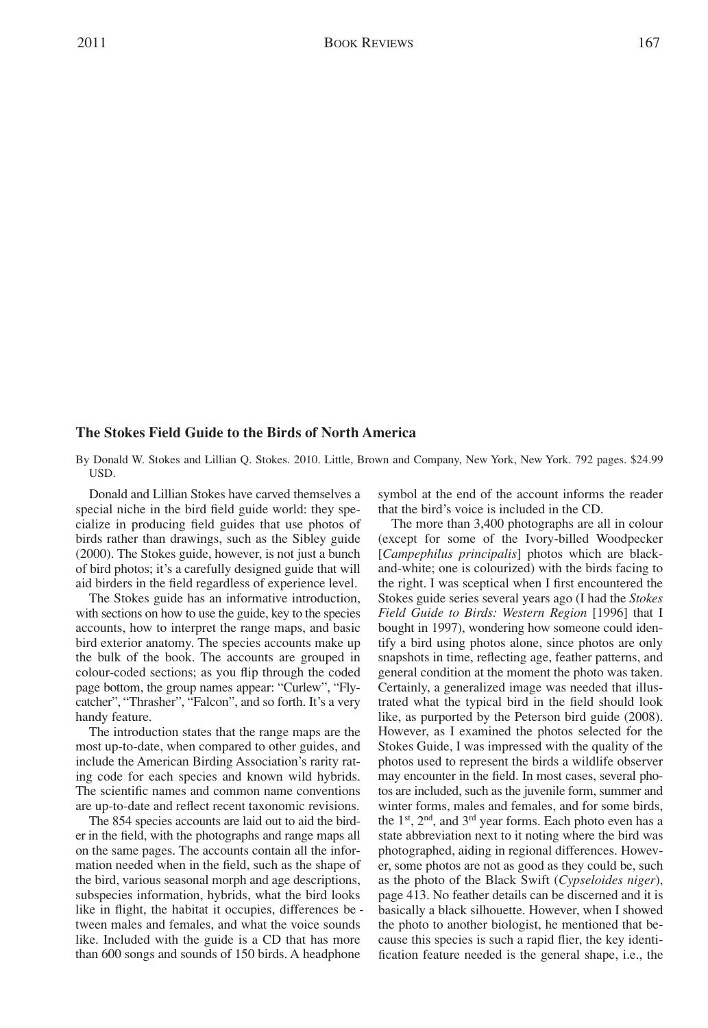## **The Stokes Field Guide to the Birds of North America**

By Donald W. Stokes and Lillian Q. Stokes. 2010. Little, Brown and Company, New York, New York. 792 pages. \$24.99 USD.

Donald and Lillian Stokes have carved themselves a special niche in the bird field guide world: they specialize in producing field guides that use photos of birds rather than drawings, such as the Sibley guide (2000). The Stokes guide, however, is not just a bunch of bird photos; it's a carefully designed guide that will aid birders in the field regardless of experience level.

The Stokes guide has an informative introduction, with sections on how to use the guide, key to the species accounts, how to interpret the range maps, and basic bird exterior anatomy. The species accounts make up the bulk of the book. The accounts are grouped in colour-coded sections; as you flip through the coded page bottom, the group names appear: "Curlew", "Flycatcher", "Thrasher", "Falcon", and so forth. It's a very handy feature.

The introduction states that the range maps are the most up-to-date, when compared to other guides, and include the American Birding Association's rarity rating code for each species and known wild hybrids. The scientific names and common name conventions are up-to-date and reflect recent taxonomic revisions.

The 854 species accounts are laid out to aid the birder in the field, with the photographs and range maps all on the same pages. The accounts contain all the information needed when in the field, such as the shape of the bird, various seasonal morph and age descriptions, subspecies information, hybrids, what the bird looks like in flight, the habitat it occupies, differences be tween males and females, and what the voice sounds like. Included with the guide is a CD that has more than 600 songs and sounds of 150 birds. A headphone

symbol at the end of the account informs the reader that the bird's voice is included in the CD.

The more than 3,400 photographs are all in colour (except for some of the Ivory-billed Woodpecker [*Campephilus principalis*] photos which are blackand-white; one is colourized) with the birds facing to the right. I was sceptical when I first encountered the Stokes guide series several years ago (I had the *Stokes Field Guide to Birds: Western Region* [1996] that I bought in 1997), wondering how someone could identify a bird using photos alone, since photos are only snapshots in time, reflecting age, feather patterns, and general condition at the moment the photo was taken. Certainly, a generalized image was needed that illustrated what the typical bird in the field should look like, as purported by the Peterson bird guide (2008). However, as I examined the photos selected for the Stokes Guide, I was impressed with the quality of the photos used to represent the birds a wildlife observer may encounter in the field. In most cases, several photos are included, such as the juvenile form, summer and winter forms, males and females, and for some birds, the  $1<sup>st</sup>$ ,  $2<sup>nd</sup>$ , and  $3<sup>rd</sup>$  year forms. Each photo even has a state abbreviation next to it noting where the bird was photographed, aiding in regional differences. However, some photos are not as good as they could be, such as the photo of the Black Swift (*Cypseloides niger*), page 413. No feather details can be discerned and it is basically a black silhouette. However, when I showed the photo to another biologist, he mentioned that be cause this species is such a rapid flier, the key identification feature needed is the general shape, i.e., the